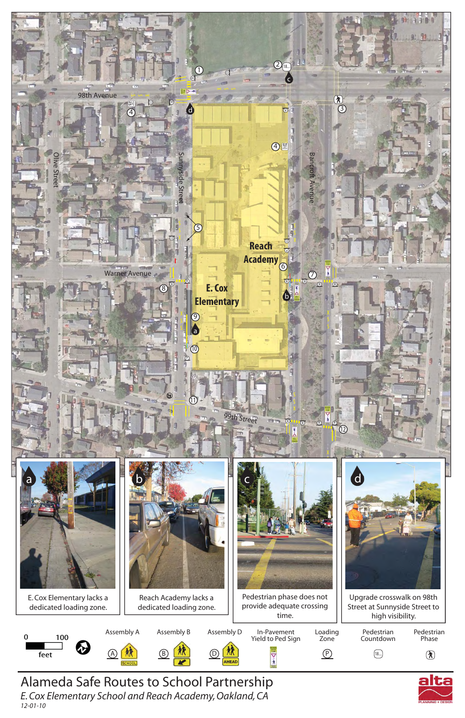*12-01-10*

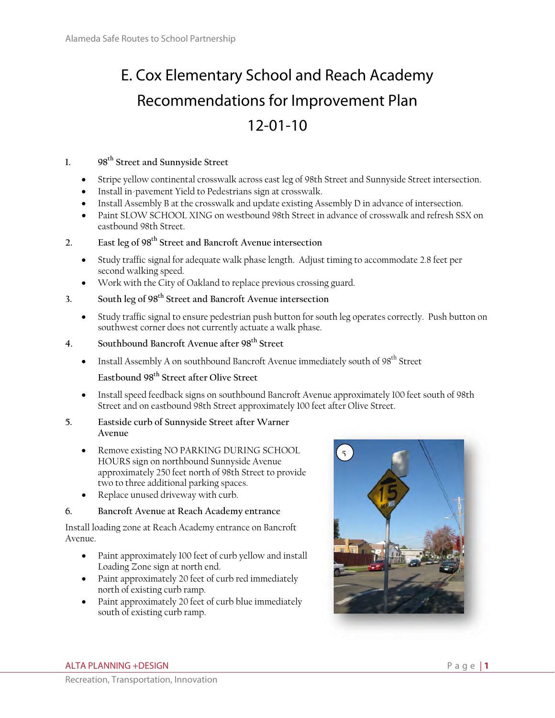# E. Cox Elementary School and Reach Academy Recommendations for Improvement Plan 12-01-10

# **1. 98th Street and Sunnyside Street**

- Stripe yellow continental crosswalk across east leg of 98th Street and Sunnyside Street intersection.
- Install in-pavement Yield to Pedestrians sign at crosswalk.
- Install Assembly B at the crosswalk and update existing Assembly D in advance of intersection.
- Paint SLOW SCHOOL XING on westbound 98th Street in advance of crosswalk and refresh SSX on eastbound 98th Street.

# **2. East leg of 98th Street and Bancroft Avenue intersection**

- Study traffic signal for adequate walk phase length. Adjust timing to accommodate 2.8 feet per second walking speed.
- Work with the City of Oakland to replace previous crossing guard.
- **3. South leg of 98th Street and Bancroft Avenue intersection** 
	- Study traffic signal to ensure pedestrian push button for south leg operates correctly. Push button on southwest corner does not currently actuate a walk phase.
- **4. Southbound Bancroft Avenue after 98th Street** 
	- **Install Assembly A on southbound Bancroft Avenue immediately south of**  $98<sup>th</sup>$  **Street**

## **Eastbound 98th Street after Olive Street**

 Install speed feedback signs on southbound Bancroft Avenue approximately 100 feet south of 98th Street and on eastbound 98th Street approximately 100 feet after Olive Street.

#### **5. Eastside curb of Sunnyside Street after Warner Avenue**

- Remove existing NO PARKING DURING SCHOOL HOURS sign on northbound Sunnyside Avenue approximately 250 feet north of 98th Street to provide two to three additional parking spaces.
- Replace unused driveway with curb.

# **6. Bancroft Avenue at Reach Academy entrance**

Install loading zone at Reach Academy entrance on Bancroft Avenue.

- Paint approximately 100 feet of curb yellow and install Loading Zone sign at north end.
- Paint approximately 20 feet of curb red immediately north of existing curb ramp.
- Paint approximately 20 feet of curb blue immediately south of existing curb ramp.